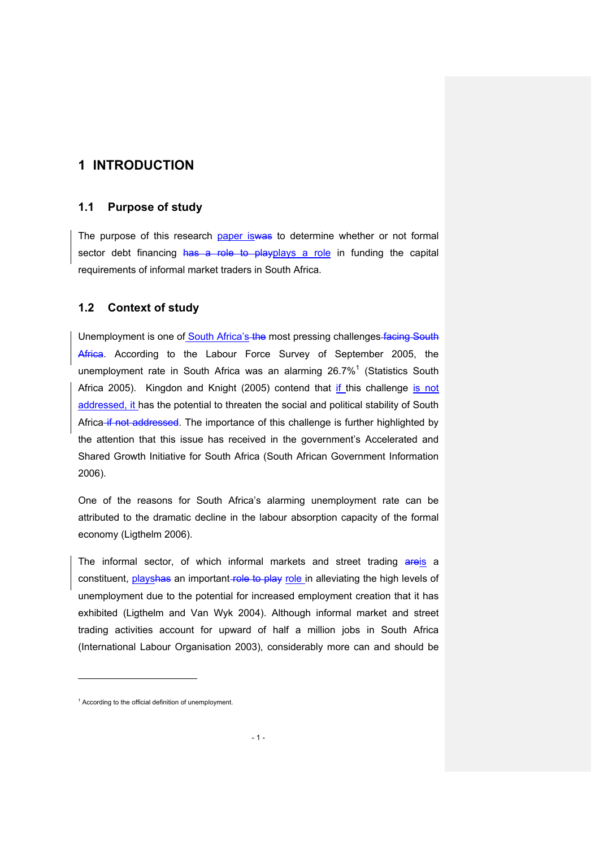# **1 INTRODUCTION**

### **1.1 Purpose of study**

The purpose of this research paper is was to determine whether or not formal sector debt financing has a role to playplays a role in funding the capital requirements of informal market traders in South Africa.

### **1.2 Context of study**

Unemployment is one of South Africa's the most pressing challenges facing South Africa. According to the Labour Force Survey of September 2005, the unemployment rate in South Africa was an alarming 26.7%<sup>1</sup> (Statistics South Africa 2005). Kingdon and Knight (2005) contend that if this challenge is not addressed, it has the potential to threaten the social and political stability of South Africa if not addressed. The importance of this challenge is further highlighted by the attention that this issue has received in the government's Accelerated and Shared Growth Initiative for South Africa (South African Government Information 2006).

One of the reasons for South Africa's alarming unemployment rate can be attributed to the dramatic decline in the labour absorption capacity of the formal economy (Ligthelm 2006).

The informal sector, of which informal markets and street trading areis a constituent, playshas an important role to play role in alleviating the high levels of unemployment due to the potential for increased employment creation that it has exhibited (Ligthelm and Van Wyk 2004). Although informal market and street trading activities account for upward of half a million jobs in South Africa (International Labour Organisation 2003), considerably more can and should be

j

<sup>&</sup>lt;sup>1</sup> According to the official definition of unemployment.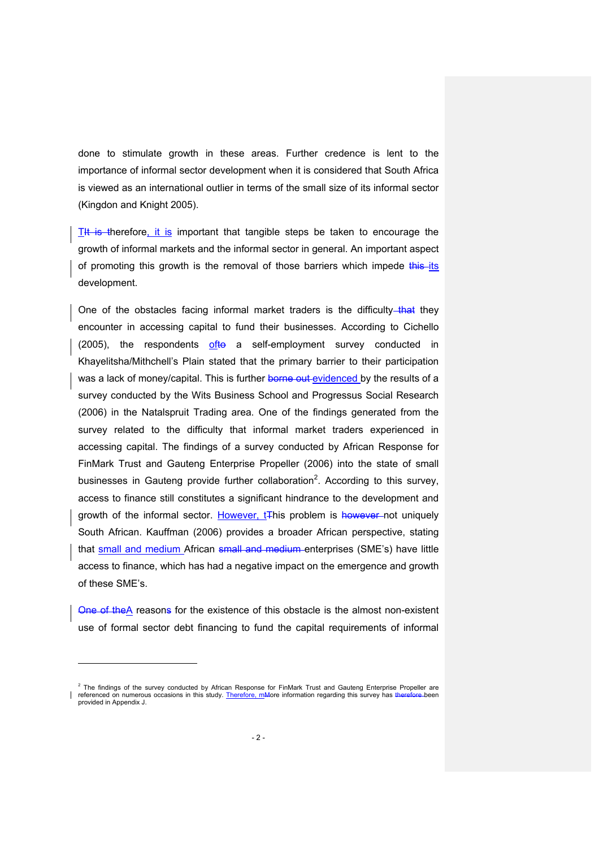done to stimulate growth in these areas. Further credence is lent to the importance of informal sector development when it is considered that South Africa is viewed as an international outlier in terms of the small size of its informal sector (Kingdon and Knight 2005).

 $T<sup>1</sup>$  is therefore, it is important that tangible steps be taken to encourage the growth of informal markets and the informal sector in general. An important aspect of promoting this growth is the removal of those barriers which impede this its development.

One of the obstacles facing informal market traders is the difficulty-that they encounter in accessing capital to fund their businesses. According to Cichello (2005), the respondents ofto a self-employment survey conducted in Khayelitsha/Mithchell's Plain stated that the primary barrier to their participation was a lack of money/capital. This is further borne out evidenced by the results of a survey conducted by the Wits Business School and Progressus Social Research (2006) in the Natalspruit Trading area. One of the findings generated from the survey related to the difficulty that informal market traders experienced in accessing capital. The findings of a survey conducted by African Response for FinMark Trust and Gauteng Enterprise Propeller (2006) into the state of small businesses in Gauteng provide further collaboration<sup>2</sup>. According to this survey, access to finance still constitutes a significant hindrance to the development and growth of the informal sector. However, t<sub>this</sub> problem is however not uniquely South African. Kauffman (2006) provides a broader African perspective, stating that small and medium African small and medium enterprises (SME's) have little access to finance, which has had a negative impact on the emergence and growth of these SME's.

One of the A reasons for the existence of this obstacle is the almost non-existent use of formal sector debt financing to fund the capital requirements of informal

l

<sup>&</sup>lt;sup>2</sup> The findings of the survey conducted by African Response for FinMark Trust and Gauteng Enterprise Propeller are referenced on numerous occasions in this study. Therefore, mMore information regarding this survey has therefore been provided in Appendix J.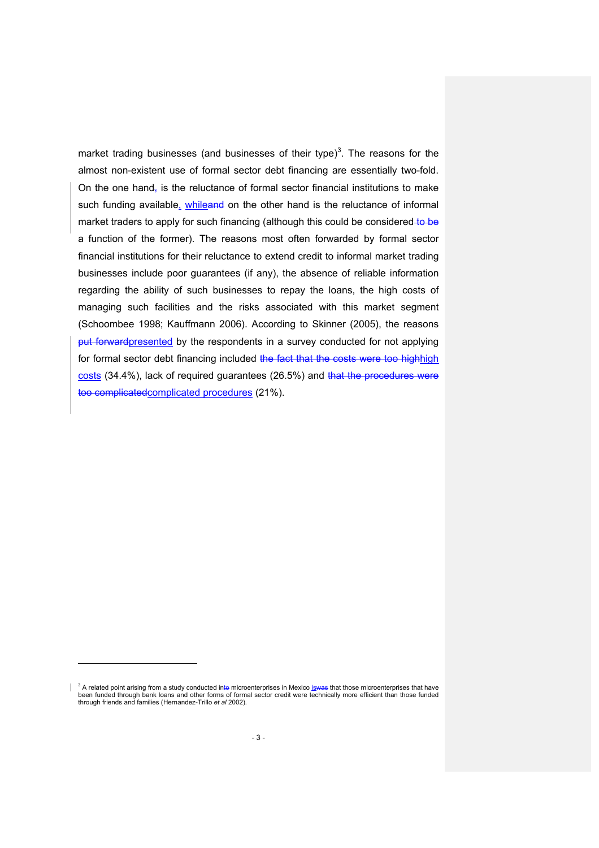market trading businesses (and businesses of their type)<sup>3</sup>. The reasons for the almost non-existent use of formal sector debt financing are essentially two-fold. On the one hand, is the reluctance of formal sector financial institutions to make such funding available, whileand on the other hand is the reluctance of informal market traders to apply for such financing (although this could be considered to be a function of the former). The reasons most often forwarded by formal sector financial institutions for their reluctance to extend credit to informal market trading businesses include poor guarantees (if any), the absence of reliable information regarding the ability of such businesses to repay the loans, the high costs of managing such facilities and the risks associated with this market segment (Schoombee 1998; Kauffmann 2006). According to Skinner (2005), the reasons put forwardpresented by the respondents in a survey conducted for not applying for formal sector debt financing included the fact that the costs were too highhigh costs (34.4%), lack of required guarantees (26.5%) and that the procedures were too complicatedcomplicated procedures (21%).

l

 $\mathbf{I}$ <sup>3</sup> A related point arising from a study conducted inte microenterprises in Mexico iswas that those microenterprises that have been funded through bank loans and other forms of formal sector credit were technically more efficient than those funded through friends and families (Hernandez-Trillo *et al* 2002).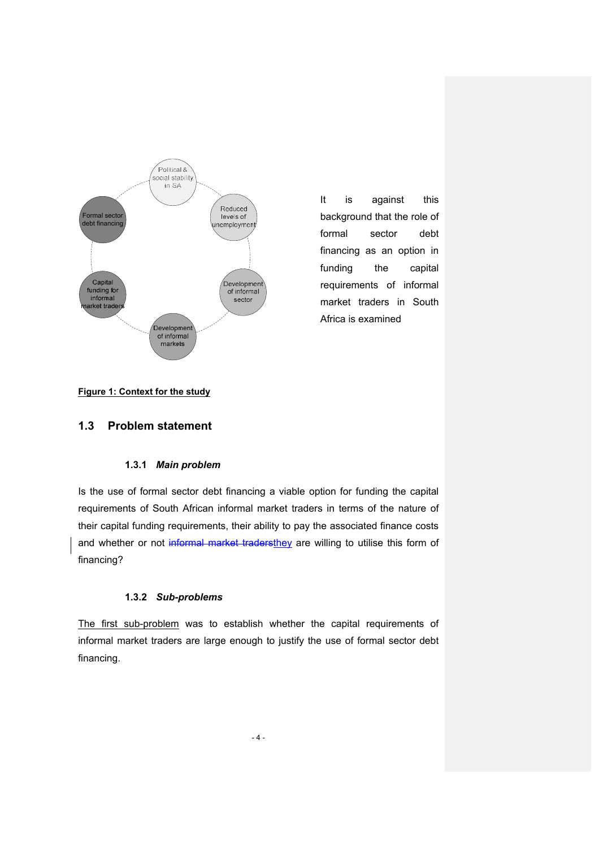

It is against this background that the role of formal sector debt financing as an option in funding the capital requirements of informal market traders in South Africa is examined

#### **Figure 1: Context for the study**

### **1.3 Problem statement**

#### **1.3.1** *Main problem*

Is the use of formal sector debt financing a viable option for funding the capital requirements of South African informal market traders in terms of the nature of their capital funding requirements, their ability to pay the associated finance costs and whether or not informal market tradersthey are willing to utilise this form of financing?

#### **1.3.2** *Sub-problems*

The first sub-problem was to establish whether the capital requirements of informal market traders are large enough to justify the use of formal sector debt financing.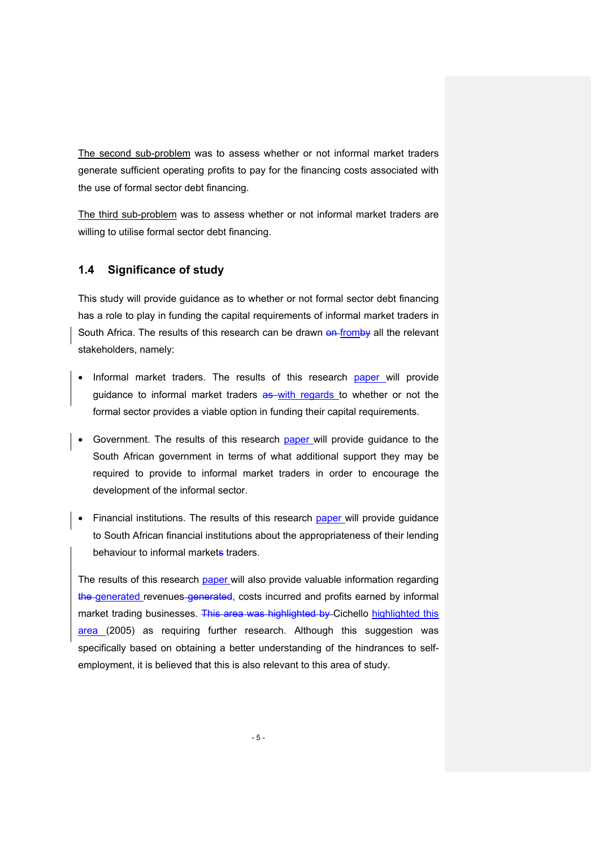The second sub-problem was to assess whether or not informal market traders generate sufficient operating profits to pay for the financing costs associated with the use of formal sector debt financing.

The third sub-problem was to assess whether or not informal market traders are willing to utilise formal sector debt financing.

## **1.4 Significance of study**

This study will provide guidance as to whether or not formal sector debt financing has a role to play in funding the capital requirements of informal market traders in South Africa. The results of this research can be drawn on fromby all the relevant stakeholders, namely:

- Informal market traders. The results of this research paper will provide guidance to informal market traders as with regards to whether or not the formal sector provides a viable option in funding their capital requirements.
- Government. The results of this research paper will provide guidance to the South African government in terms of what additional support they may be required to provide to informal market traders in order to encourage the development of the informal sector.
- Financial institutions. The results of this research paper will provide guidance to South African financial institutions about the appropriateness of their lending behaviour to informal markets traders.

The results of this research paper will also provide valuable information regarding the generated revenues generated, costs incurred and profits earned by informal market trading businesses. This area was highlighted by Cichello highlighted this area (2005) as requiring further research. Although this suggestion was specifically based on obtaining a better understanding of the hindrances to selfemployment, it is believed that this is also relevant to this area of study.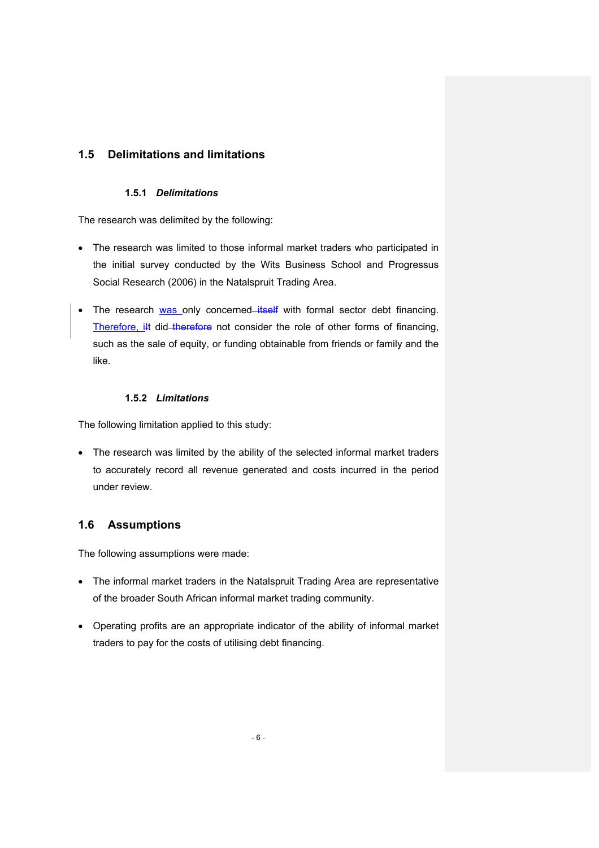## **1.5 Delimitations and limitations**

## **1.5.1** *Delimitations*

The research was delimited by the following:

- The research was limited to those informal market traders who participated in the initial survey conducted by the Wits Business School and Progressus Social Research (2006) in the Natalspruit Trading Area.
- The research was only concerned *itself* with formal sector debt financing. Therefore, ilt did therefore not consider the role of other forms of financing, such as the sale of equity, or funding obtainable from friends or family and the like.

#### **1.5.2** *Limitations*

The following limitation applied to this study:

• The research was limited by the ability of the selected informal market traders to accurately record all revenue generated and costs incurred in the period under review.

## **1.6 Assumptions**

The following assumptions were made:

- The informal market traders in the Natalspruit Trading Area are representative of the broader South African informal market trading community.
- Operating profits are an appropriate indicator of the ability of informal market traders to pay for the costs of utilising debt financing.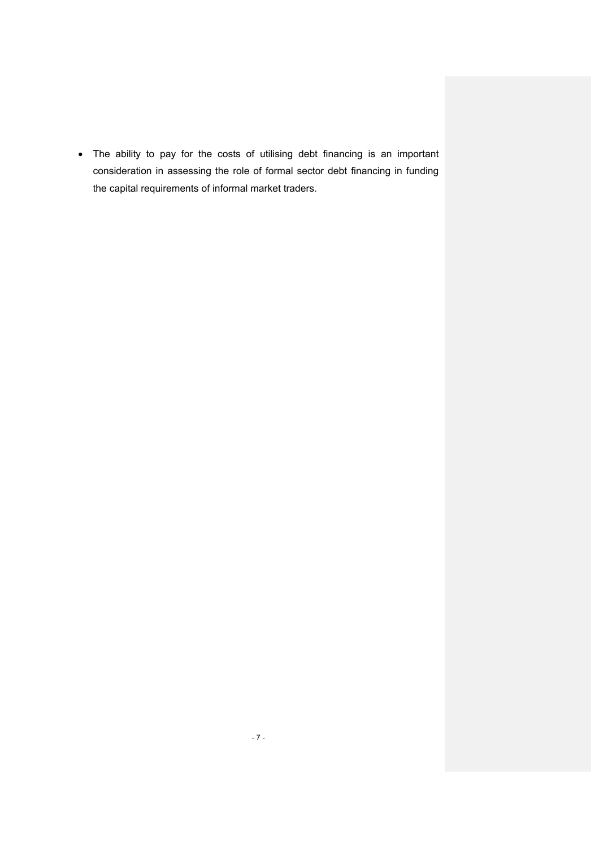• The ability to pay for the costs of utilising debt financing is an important consideration in assessing the role of formal sector debt financing in funding the capital requirements of informal market traders.